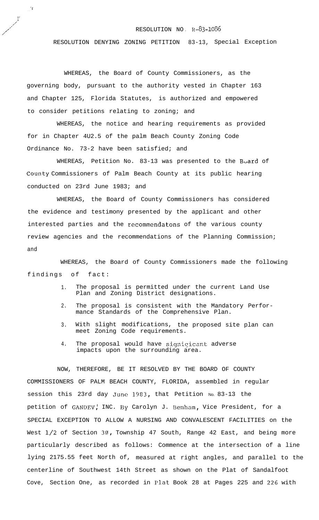## RESOLUTION NO . R-83-1086

RESOLUTION DENYING ZONING PETITION 83-13, Special Exception

WHEREAS, the Board of County Commissioners, as the governing body, pursuant to the authority vested in Chapter 163 and Chapter 125, Florida Statutes, is authorized and empowered to consider petitions relating to zoning; and

. . F

I' ,'

/'

WHEREAS, the notice and hearing requirements as provided for in Chapter 4U2.5 of the palm Beach County Zoning Code Ordinance No. 73-2 have been satisfied; and

WHEREAS, Petition No. 83-13 was presented to the Board of County Commissioners of Palm Beach County at its public hearing conducted on 23rd June 1983; and

WHEREAS, the Board of County Commissioners has considered the evidence and testimony presented by the applicant and other interested parties and the recommendatons of the various county review agencies and the recommendations of the Planning Commission; and

WHEREAS, the Board of County Commissioners made the following findings of fact:

- 1. The proposal is permitted under the current Land Use Plan and Zoning District designations.
- 2. The proposal is consistent with the Mandatory Performance Standards of the Comprehensive Plan.
- 3. With slight modifications, the proposed site plan can meet Zoning Code requirements.
- 4. The proposal would have signigicant adverse impacts upon the surrounding area.

NOW, THEREFORE, BE IT RESOLVED BY THE BOARD OF COUNTY COMMISSIONERS OF PALM BEACH COUNTY, FLORIDA, assembled in regular session this 23rd day June 1983, that Petition No. 83-13 the petition of GANDEV, INC. By Carolyn J. Benham, Vice President, for a SPECIAL EXCEPTION TO ALLOW A NURSING AND CONVALESCENT FACILITIES on the West  $1/2$  of Section  $3\theta$ , Township 47 South, Range 42 East, and being more particularly described as follows: Commence at the intersection of a line lying 2175.55 feet North of, measured at right angles, and parallel to the centerline of Southwest 14th Street as shown on the Plat of Sandalfoot Cove, Section One, as recorded in Plat Book 28 at Pages 225 and 226 with